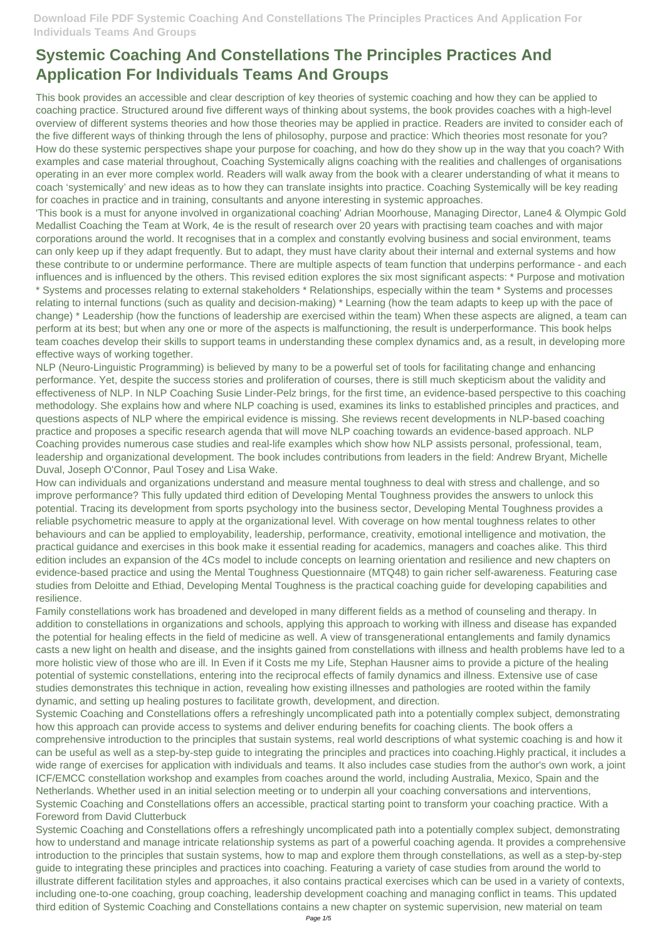This book provides an accessible and clear description of key theories of systemic coaching and how they can be applied to coaching practice. Structured around five different ways of thinking about systems, the book provides coaches with a high-level overview of different systems theories and how those theories may be applied in practice. Readers are invited to consider each of the five different ways of thinking through the lens of philosophy, purpose and practice: Which theories most resonate for you? How do these systemic perspectives shape your purpose for coaching, and how do they show up in the way that you coach? With examples and case material throughout, Coaching Systemically aligns coaching with the realities and challenges of organisations operating in an ever more complex world. Readers will walk away from the book with a clearer understanding of what it means to coach 'systemically' and new ideas as to how they can translate insights into practice. Coaching Systemically will be key reading for coaches in practice and in training, consultants and anyone interesting in systemic approaches.

'This book is a must for anyone involved in organizational coaching' Adrian Moorhouse, Managing Director, Lane4 & Olympic Gold Medallist Coaching the Team at Work, 4e is the result of research over 20 years with practising team coaches and with major corporations around the world. It recognises that in a complex and constantly evolving business and social environment, teams can only keep up if they adapt frequently. But to adapt, they must have clarity about their internal and external systems and how these contribute to or undermine performance. There are multiple aspects of team function that underpins performance - and each influences and is influenced by the others. This revised edition explores the six most significant aspects: \* Purpose and motivation \* Systems and processes relating to external stakeholders \* Relationships, especially within the team \* Systems and processes relating to internal functions (such as quality and decision-making) \* Learning (how the team adapts to keep up with the pace of change) \* Leadership (how the functions of leadership are exercised within the team) When these aspects are aligned, a team can perform at its best; but when any one or more of the aspects is malfunctioning, the result is underperformance. This book helps team coaches develop their skills to support teams in understanding these complex dynamics and, as a result, in developing more effective ways of working together.

NLP (Neuro-Linguistic Programming) is believed by many to be a powerful set of tools for facilitating change and enhancing performance. Yet, despite the success stories and proliferation of courses, there is still much skepticism about the validity and effectiveness of NLP. In NLP Coaching Susie Linder-Pelz brings, for the first time, an evidence-based perspective to this coaching methodology. She explains how and where NLP coaching is used, examines its links to established principles and practices, and questions aspects of NLP where the empirical evidence is missing. She reviews recent developments in NLP-based coaching practice and proposes a specific research agenda that will move NLP coaching towards an evidence-based approach. NLP Coaching provides numerous case studies and real-life examples which show how NLP assists personal, professional, team, leadership and organizational development. The book includes contributions from leaders in the field: Andrew Bryant, Michelle Duval, Joseph O'Connor, Paul Tosey and Lisa Wake.

How can individuals and organizations understand and measure mental toughness to deal with stress and challenge, and so improve performance? This fully updated third edition of Developing Mental Toughness provides the answers to unlock this potential. Tracing its development from sports psychology into the business sector, Developing Mental Toughness provides a reliable psychometric measure to apply at the organizational level. With coverage on how mental toughness relates to other behaviours and can be applied to employability, leadership, performance, creativity, emotional intelligence and motivation, the practical guidance and exercises in this book make it essential reading for academics, managers and coaches alike. This third edition includes an expansion of the 4Cs model to include concepts on learning orientation and resilience and new chapters on evidence-based practice and using the Mental Toughness Questionnaire (MTQ48) to gain richer self-awareness. Featuring case studies from Deloitte and Ethiad, Developing Mental Toughness is the practical coaching guide for developing capabilities and resilience.

Family constellations work has broadened and developed in many different fields as a method of counseling and therapy. In addition to constellations in organizations and schools, applying this approach to working with illness and disease has expanded the potential for healing effects in the field of medicine as well. A view of transgenerational entanglements and family dynamics casts a new light on health and disease, and the insights gained from constellations with illness and health problems have led to a more holistic view of those who are ill. In Even if it Costs me my Life, Stephan Hausner aims to provide a picture of the healing potential of systemic constellations, entering into the reciprocal effects of family dynamics and illness. Extensive use of case studies demonstrates this technique in action, revealing how existing illnesses and pathologies are rooted within the family dynamic, and setting up healing postures to facilitate growth, development, and direction. Systemic Coaching and Constellations offers a refreshingly uncomplicated path into a potentially complex subject, demonstrating how this approach can provide access to systems and deliver enduring benefits for coaching clients. The book offers a comprehensive introduction to the principles that sustain systems, real world descriptions of what systemic coaching is and how it can be useful as well as a step-by-step guide to integrating the principles and practices into coaching.Highly practical, it includes a wide range of exercises for application with individuals and teams. It also includes case studies from the author's own work, a joint ICF/EMCC constellation workshop and examples from coaches around the world, including Australia, Mexico, Spain and the Netherlands. Whether used in an initial selection meeting or to underpin all your coaching conversations and interventions, Systemic Coaching and Constellations offers an accessible, practical starting point to transform your coaching practice. With a Foreword from David Clutterbuck Systemic Coaching and Constellations offers a refreshingly uncomplicated path into a potentially complex subject, demonstrating how to understand and manage intricate relationship systems as part of a powerful coaching agenda. It provides a comprehensive introduction to the principles that sustain systems, how to map and explore them through constellations, as well as a step-by-step guide to integrating these principles and practices into coaching. Featuring a variety of case studies from around the world to illustrate different facilitation styles and approaches, it also contains practical exercises which can be used in a variety of contexts, including one-to-one coaching, group coaching, leadership development coaching and managing conflict in teams. This updated third edition of Systemic Coaching and Constellations contains a new chapter on systemic supervision, new material on team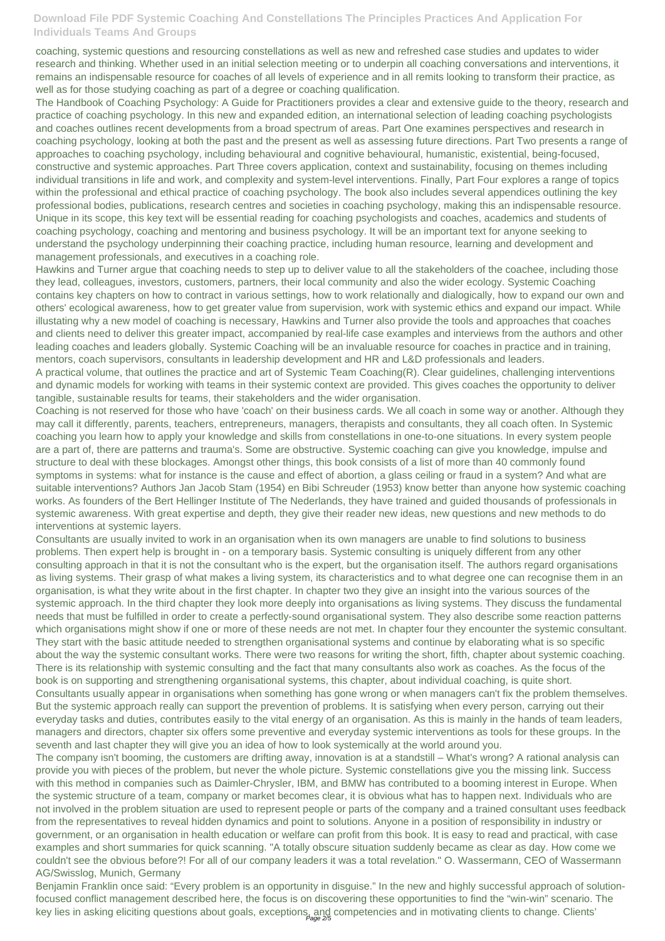coaching, systemic questions and resourcing constellations as well as new and refreshed case studies and updates to wider research and thinking. Whether used in an initial selection meeting or to underpin all coaching conversations and interventions, it remains an indispensable resource for coaches of all levels of experience and in all remits looking to transform their practice, as well as for those studying coaching as part of a degree or coaching qualification.

The Handbook of Coaching Psychology: A Guide for Practitioners provides a clear and extensive guide to the theory, research and practice of coaching psychology. In this new and expanded edition, an international selection of leading coaching psychologists and coaches outlines recent developments from a broad spectrum of areas. Part One examines perspectives and research in coaching psychology, looking at both the past and the present as well as assessing future directions. Part Two presents a range of approaches to coaching psychology, including behavioural and cognitive behavioural, humanistic, existential, being-focused, constructive and systemic approaches. Part Three covers application, context and sustainability, focusing on themes including individual transitions in life and work, and complexity and system-level interventions. Finally, Part Four explores a range of topics within the professional and ethical practice of coaching psychology. The book also includes several appendices outlining the key professional bodies, publications, research centres and societies in coaching psychology, making this an indispensable resource. Unique in its scope, this key text will be essential reading for coaching psychologists and coaches, academics and students of coaching psychology, coaching and mentoring and business psychology. It will be an important text for anyone seeking to understand the psychology underpinning their coaching practice, including human resource, learning and development and management professionals, and executives in a coaching role.

Hawkins and Turner argue that coaching needs to step up to deliver value to all the stakeholders of the coachee, including those they lead, colleagues, investors, customers, partners, their local community and also the wider ecology. Systemic Coaching contains key chapters on how to contract in various settings, how to work relationally and dialogically, how to expand our own and others' ecological awareness, how to get greater value from supervision, work with systemic ethics and expand our impact. While illustating why a new model of coaching is necessary, Hawkins and Turner also provide the tools and approaches that coaches and clients need to deliver this greater impact, accompanied by real-life case examples and interviews from the authors and other leading coaches and leaders globally. Systemic Coaching will be an invaluable resource for coaches in practice and in training, mentors, coach supervisors, consultants in leadership development and HR and L&D professionals and leaders.

A practical volume, that outlines the practice and art of Systemic Team Coaching(R). Clear guidelines, challenging interventions and dynamic models for working with teams in their systemic context are provided. This gives coaches the opportunity to deliver tangible, sustainable results for teams, their stakeholders and the wider organisation.

Benjamin Franklin once said: "Every problem is an opportunity in disguise." In the new and highly successful approach of solutionfocused conflict management described here, the focus is on discovering these opportunities to find the "win-win" scenario. The key lies in asking eliciting questions about goals, exceptions, and competencies and in motivating clients to change. Clients'

Coaching is not reserved for those who have 'coach' on their business cards. We all coach in some way or another. Although they may call it differently, parents, teachers, entrepreneurs, managers, therapists and consultants, they all coach often. In Systemic coaching you learn how to apply your knowledge and skills from constellations in one-to-one situations. In every system people are a part of, there are patterns and trauma's. Some are obstructive. Systemic coaching can give you knowledge, impulse and structure to deal with these blockages. Amongst other things, this book consists of a list of more than 40 commonly found symptoms in systems: what for instance is the cause and effect of abortion, a glass ceiling or fraud in a system? And what are suitable interventions? Authors Jan Jacob Stam (1954) en Bibi Schreuder (1953) know better than anyone how systemic coaching works. As founders of the Bert Hellinger Institute of The Nederlands, they have trained and guided thousands of professionals in systemic awareness. With great expertise and depth, they give their reader new ideas, new questions and new methods to do interventions at systemic layers.

Consultants are usually invited to work in an organisation when its own managers are unable to find solutions to business problems. Then expert help is brought in - on a temporary basis. Systemic consulting is uniquely different from any other consulting approach in that it is not the consultant who is the expert, but the organisation itself. The authors regard organisations as living systems. Their grasp of what makes a living system, its characteristics and to what degree one can recognise them in an organisation, is what they write about in the first chapter. In chapter two they give an insight into the various sources of the systemic approach. In the third chapter they look more deeply into organisations as living systems. They discuss the fundamental needs that must be fulfilled in order to create a perfectly-sound organisational system. They also describe some reaction patterns which organisations might show if one or more of these needs are not met. In chapter four they encounter the systemic consultant. They start with the basic attitude needed to strengthen organisational systems and continue by elaborating what is so specific about the way the systemic consultant works. There were two reasons for writing the short, fifth, chapter about systemic coaching. There is its relationship with systemic consulting and the fact that many consultants also work as coaches. As the focus of the book is on supporting and strengthening organisational systems, this chapter, about individual coaching, is quite short. Consultants usually appear in organisations when something has gone wrong or when managers can't fix the problem themselves. But the systemic approach really can support the prevention of problems. It is satisfying when every person, carrying out their everyday tasks and duties, contributes easily to the vital energy of an organisation. As this is mainly in the hands of team leaders, managers and directors, chapter six offers some preventive and everyday systemic interventions as tools for these groups. In the seventh and last chapter they will give you an idea of how to look systemically at the world around you. The company isn't booming, the customers are drifting away, innovation is at a standstill – What's wrong? A rational analysis can provide you with pieces of the problem, but never the whole picture. Systemic constellations give you the missing link. Success with this method in companies such as Daimler-Chrysler, IBM, and BMW has contributed to a booming interest in Europe. When the systemic structure of a team, company or market becomes clear, it is obvious what has to happen next. Individuals who are not involved in the problem situation are used to represent people or parts of the company and a trained consultant uses feedback from the representatives to reveal hidden dynamics and point to solutions. Anyone in a position of responsibility in industry or government, or an organisation in health education or welfare can profit from this book. It is easy to read and practical, with case examples and short summaries for quick scanning. "A totally obscure situation suddenly became as clear as day. How come we couldn't see the obvious before?! For all of our company leaders it was a total revelation." O. Wassermann, CEO of Wassermann AG/Swisslog, Munich, Germany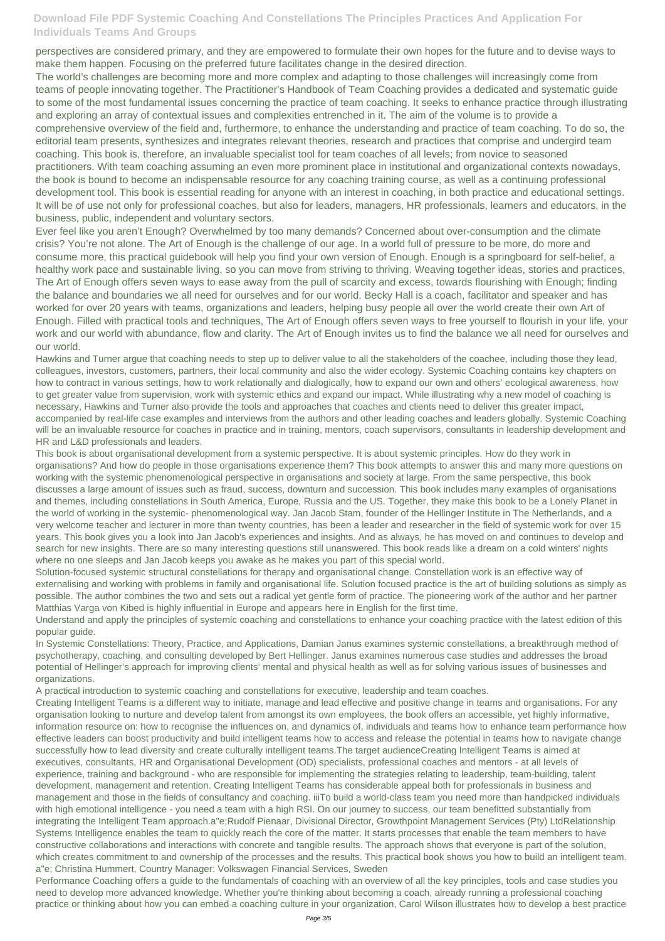perspectives are considered primary, and they are empowered to formulate their own hopes for the future and to devise ways to make them happen. Focusing on the preferred future facilitates change in the desired direction.

The world's challenges are becoming more and more complex and adapting to those challenges will increasingly come from teams of people innovating together. The Practitioner's Handbook of Team Coaching provides a dedicated and systematic guide to some of the most fundamental issues concerning the practice of team coaching. It seeks to enhance practice through illustrating and exploring an array of contextual issues and complexities entrenched in it. The aim of the volume is to provide a comprehensive overview of the field and, furthermore, to enhance the understanding and practice of team coaching. To do so, the editorial team presents, synthesizes and integrates relevant theories, research and practices that comprise and undergird team coaching. This book is, therefore, an invaluable specialist tool for team coaches of all levels; from novice to seasoned practitioners. With team coaching assuming an even more prominent place in institutional and organizational contexts nowadays, the book is bound to become an indispensable resource for any coaching training course, as well as a continuing professional development tool. This book is essential reading for anyone with an interest in coaching, in both practice and educational settings. It will be of use not only for professional coaches, but also for leaders, managers, HR professionals, learners and educators, in the business, public, independent and voluntary sectors.

Ever feel like you aren't Enough? Overwhelmed by too many demands? Concerned about over-consumption and the climate crisis? You're not alone. The Art of Enough is the challenge of our age. In a world full of pressure to be more, do more and consume more, this practical guidebook will help you find your own version of Enough. Enough is a springboard for self-belief, a healthy work pace and sustainable living, so you can move from striving to thriving. Weaving together ideas, stories and practices, The Art of Enough offers seven ways to ease away from the pull of scarcity and excess, towards flourishing with Enough; finding the balance and boundaries we all need for ourselves and for our world. Becky Hall is a coach, facilitator and speaker and has worked for over 20 years with teams, organizations and leaders, helping busy people all over the world create their own Art of Enough. Filled with practical tools and techniques, The Art of Enough offers seven ways to free yourself to flourish in your life, your work and our world with abundance, flow and clarity. The Art of Enough invites us to find the balance we all need for ourselves and our world.

Hawkins and Turner argue that coaching needs to step up to deliver value to all the stakeholders of the coachee, including those they lead, colleagues, investors, customers, partners, their local community and also the wider ecology. Systemic Coaching contains key chapters on how to contract in various settings, how to work relationally and dialogically, how to expand our own and others' ecological awareness, how to get greater value from supervision, work with systemic ethics and expand our impact. While illustrating why a new model of coaching is necessary, Hawkins and Turner also provide the tools and approaches that coaches and clients need to deliver this greater impact, accompanied by real-life case examples and interviews from the authors and other leading coaches and leaders globally. Systemic Coaching will be an invaluable resource for coaches in practice and in training, mentors, coach supervisors, consultants in leadership development and HR and L&D professionals and leaders.

This book is about organisational development from a systemic perspective. It is about systemic principles. How do they work in organisations? And how do people in those organisations experience them? This book attempts to answer this and many more questions on working with the systemic phenomenological perspective in organisations and society at large. From the same perspective, this book discusses a large amount of issues such as fraud, success, downturn and succession. This book includes many examples of organisations and themes, including constellations in South America, Europe, Russia and the US. Together, they make this book to be a Lonely Planet in the world of working in the systemic- phenomenological way. Jan Jacob Stam, founder of the Hellinger Institute in The Netherlands, and a very welcome teacher and lecturer in more than twenty countries, has been a leader and researcher in the field of systemic work for over 15 years. This book gives you a look into Jan Jacob's experiences and insights. And as always, he has moved on and continues to develop and search for new insights. There are so many interesting questions still unanswered. This book reads like a dream on a cold winters' nights where no one sleeps and Jan Jacob keeps you awake as he makes you part of this special world.

Solution-focused systemic structural constellations for therapy and organisational change. Constellation work is an effective way of externalising and working with problems in family and organisational life. Solution focused practice is the art of building solutions as simply as possible. The author combines the two and sets out a radical yet gentle form of practice. The pioneering work of the author and her partner Matthias Varga von Kibed is highly influential in Europe and appears here in English for the first time.

Understand and apply the principles of systemic coaching and constellations to enhance your coaching practice with the latest edition of this popular guide.

In Systemic Constellations: Theory, Practice, and Applications, Damian Janus examines systemic constellations, a breakthrough method of psychotherapy, coaching, and consulting developed by Bert Hellinger. Janus examines numerous case studies and addresses the broad potential of Hellinger's approach for improving clients' mental and physical health as well as for solving various issues of businesses and organizations.

A practical introduction to systemic coaching and constellations for executive, leadership and team coaches.

Creating Intelligent Teams is a different way to initiate, manage and lead effective and positive change in teams and organisations. For any organisation looking to nurture and develop talent from amongst its own employees, the book offers an accessible, yet highly informative, information resource on: how to recognise the influences on, and dynamics of, individuals and teams how to enhance team performance how effective leaders can boost productivity and build intelligent teams how to access and release the potential in teams how to navigate change successfully how to lead diversity and create culturally intelligent teams.The target audienceCreating Intelligent Teams is aimed at executives, consultants, HR and Organisational Development (OD) specialists, professional coaches and mentors - at all levels of experience, training and background - who are responsible for implementing the strategies relating to leadership, team-building, talent development, management and retention. Creating Intelligent Teams has considerable appeal both for professionals in business and management and those in the fields of consultancy and coaching. iiiTo build a world-class team you need more than handpicked individuals with high emotional intelligence - you need a team with a high RSI. On our journey to success, our team benefitted substantially from integrating the Intelligent Team approach.a"e;Rudolf Pienaar, Divisional Director, Growthpoint Management Services (Pty) LtdRelationship Systems Intelligence enables the team to quickly reach the core of the matter. It starts processes that enable the team members to have constructive collaborations and interactions with concrete and tangible results. The approach shows that everyone is part of the solution, which creates commitment to and ownership of the processes and the results. This practical book shows you how to build an intelligent team. a"e; Christina Hummert, Country Manager: Volkswagen Financial Services, Sweden Performance Coaching offers a guide to the fundamentals of coaching with an overview of all the key principles, tools and case studies you need to develop more advanced knowledge. Whether you're thinking about becoming a coach, already running a professional coaching practice or thinking about how you can embed a coaching culture in your organization, Carol Wilson illustrates how to develop a best practice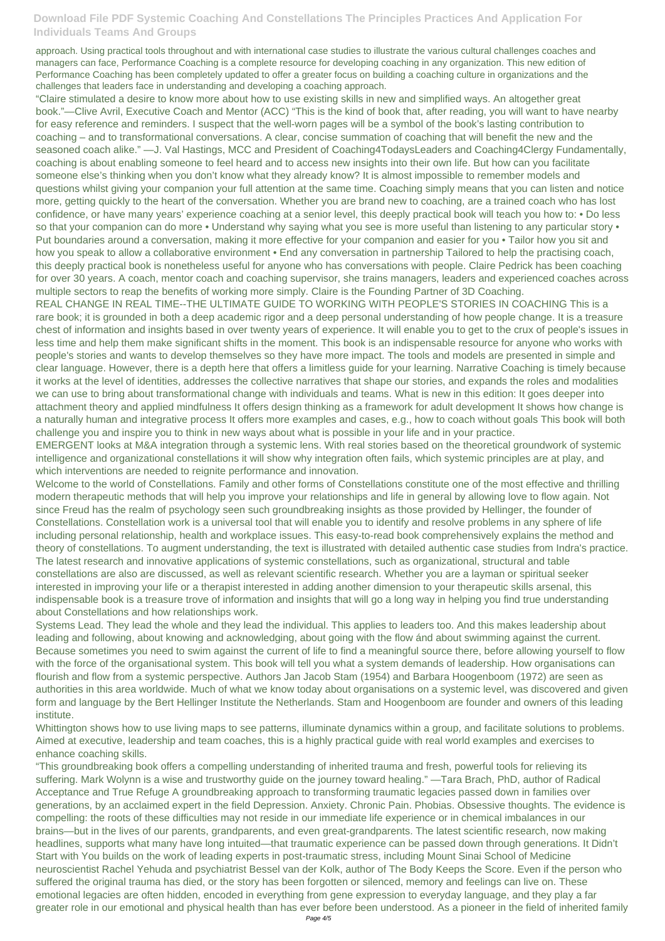approach. Using practical tools throughout and with international case studies to illustrate the various cultural challenges coaches and managers can face, Performance Coaching is a complete resource for developing coaching in any organization. This new edition of Performance Coaching has been completely updated to offer a greater focus on building a coaching culture in organizations and the challenges that leaders face in understanding and developing a coaching approach.

"Claire stimulated a desire to know more about how to use existing skills in new and simplified ways. An altogether great book."—Clive Avril, Executive Coach and Mentor (ACC) "This is the kind of book that, after reading, you will want to have nearby for easy reference and reminders. I suspect that the well-worn pages will be a symbol of the book's lasting contribution to coaching – and to transformational conversations. A clear, concise summation of coaching that will benefit the new and the seasoned coach alike." —J. Val Hastings, MCC and President of Coaching4TodaysLeaders and Coaching4Clergy Fundamentally, coaching is about enabling someone to feel heard and to access new insights into their own life. But how can you facilitate someone else's thinking when you don't know what they already know? It is almost impossible to remember models and questions whilst giving your companion your full attention at the same time. Coaching simply means that you can listen and notice more, getting quickly to the heart of the conversation. Whether you are brand new to coaching, are a trained coach who has lost confidence, or have many years' experience coaching at a senior level, this deeply practical book will teach you how to: • Do less so that your companion can do more • Understand why saying what you see is more useful than listening to any particular story • Put boundaries around a conversation, making it more effective for your companion and easier for you • Tailor how you sit and how you speak to allow a collaborative environment • End any conversation in partnership Tailored to help the practising coach, this deeply practical book is nonetheless useful for anyone who has conversations with people. Claire Pedrick has been coaching for over 30 years. A coach, mentor coach and coaching supervisor, she trains managers, leaders and experienced coaches across multiple sectors to reap the benefits of working more simply. Claire is the Founding Partner of 3D Coaching.

REAL CHANGE IN REAL TIME--THE ULTIMATE GUIDE TO WORKING WITH PEOPLE'S STORIES IN COACHING This is a rare book; it is grounded in both a deep academic rigor and a deep personal understanding of how people change. It is a treasure chest of information and insights based in over twenty years of experience. It will enable you to get to the crux of people's issues in less time and help them make significant shifts in the moment. This book is an indispensable resource for anyone who works with people's stories and wants to develop themselves so they have more impact. The tools and models are presented in simple and clear language. However, there is a depth here that offers a limitless guide for your learning. Narrative Coaching is timely because it works at the level of identities, addresses the collective narratives that shape our stories, and expands the roles and modalities we can use to bring about transformational change with individuals and teams. What is new in this edition: It goes deeper into attachment theory and applied mindfulness It offers design thinking as a framework for adult development It shows how change is a naturally human and integrative process It offers more examples and cases, e.g., how to coach without goals This book will both challenge you and inspire you to think in new ways about what is possible in your life and in your practice.

EMERGENT looks at M&A integration through a systemic lens. With real stories based on the theoretical groundwork of systemic intelligence and organizational constellations it will show why integration often fails, which systemic principles are at play, and which interventions are needed to reignite performance and innovation.

Welcome to the world of Constellations. Family and other forms of Constellations constitute one of the most effective and thrilling modern therapeutic methods that will help you improve your relationships and life in general by allowing love to flow again. Not since Freud has the realm of psychology seen such groundbreaking insights as those provided by Hellinger, the founder of Constellations. Constellation work is a universal tool that will enable you to identify and resolve problems in any sphere of life including personal relationship, health and workplace issues. This easy-to-read book comprehensively explains the method and theory of constellations. To augment understanding, the text is illustrated with detailed authentic case studies from Indra's practice. The latest research and innovative applications of systemic constellations, such as organizational, structural and table constellations are also are discussed, as well as relevant scientific research. Whether you are a layman or spiritual seeker interested in improving your life or a therapist interested in adding another dimension to your therapeutic skills arsenal, this indispensable book is a treasure trove of information and insights that will go a long way in helping you find true understanding about Constellations and how relationships work.

Systems Lead. They lead the whole and they lead the individual. This applies to leaders too. And this makes leadership about leading and following, about knowing and acknowledging, about going with the flow ánd about swimming against the current. Because sometimes you need to swim against the current of life to find a meaningful source there, before allowing yourself to flow with the force of the organisational system. This book will tell you what a system demands of leadership. How organisations can flourish and flow from a systemic perspective. Authors Jan Jacob Stam (1954) and Barbara Hoogenboom (1972) are seen as authorities in this area worldwide. Much of what we know today about organisations on a systemic level, was discovered and given form and language by the Bert Hellinger Institute the Netherlands. Stam and Hoogenboom are founder and owners of this leading

institute.

Whittington shows how to use living maps to see patterns, illuminate dynamics within a group, and facilitate solutions to problems. Aimed at executive, leadership and team coaches, this is a highly practical guide with real world examples and exercises to enhance coaching skills.

"This groundbreaking book offers a compelling understanding of inherited trauma and fresh, powerful tools for relieving its suffering. Mark Wolynn is a wise and trustworthy guide on the journey toward healing." —Tara Brach, PhD, author of Radical Acceptance and True Refuge A groundbreaking approach to transforming traumatic legacies passed down in families over generations, by an acclaimed expert in the field Depression. Anxiety. Chronic Pain. Phobias. Obsessive thoughts. The evidence is compelling: the roots of these difficulties may not reside in our immediate life experience or in chemical imbalances in our brains—but in the lives of our parents, grandparents, and even great-grandparents. The latest scientific research, now making headlines, supports what many have long intuited—that traumatic experience can be passed down through generations. It Didn't Start with You builds on the work of leading experts in post-traumatic stress, including Mount Sinai School of Medicine neuroscientist Rachel Yehuda and psychiatrist Bessel van der Kolk, author of The Body Keeps the Score. Even if the person who suffered the original trauma has died, or the story has been forgotten or silenced, memory and feelings can live on. These emotional legacies are often hidden, encoded in everything from gene expression to everyday language, and they play a far greater role in our emotional and physical health than has ever before been understood. As a pioneer in the field of inherited family